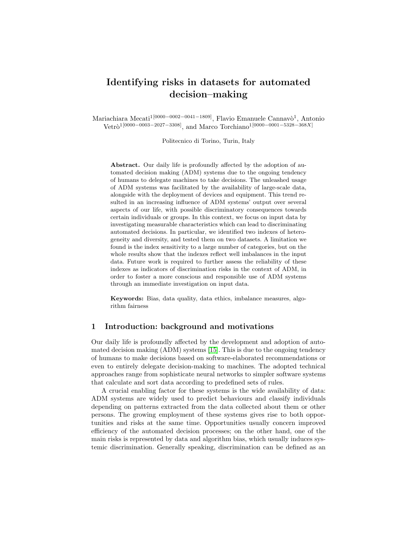# Identifying risks in datasets for automated decision–making

Mariachiara Mecati<sup>1[0000–0002–0041–1809]</sup>, Flavio Emanuele Cannavò<sup>1</sup>, Antonio  $\text{Vert}^{\lambda}[0000-0003-2027-3308]$ , and Marco Torchiano<sup>1</sup><sup>[0000–0001–5328–368X]</sup>

Politecnico di Torino, Turin, Italy

Abstract. Our daily life is profoundly affected by the adoption of automated decision making (ADM) systems due to the ongoing tendency of humans to delegate machines to take decisions. The unleashed usage of ADM systems was facilitated by the availability of large-scale data, alongside with the deployment of devices and equipment. This trend resulted in an increasing influence of ADM systems' output over several aspects of our life, with possible discriminatory consequences towards certain individuals or groups. In this context, we focus on input data by investigating measurable characteristics which can lead to discriminating automated decisions. In particular, we identified two indexes of heterogeneity and diversity, and tested them on two datasets. A limitation we found is the index sensitivity to a large number of categories, but on the whole results show that the indexes reflect well imbalances in the input data. Future work is required to further assess the reliability of these indexes as indicators of discrimination risks in the context of ADM, in order to foster a more conscious and responsible use of ADM systems through an immediate investigation on input data.

Keywords: Bias, data quality, data ethics, imbalance measures, algorithm fairness

## 1 Introduction: background and motivations

Our daily life is profoundly affected by the development and adoption of automated decision making (ADM) systems [\[15\]](#page-11-0). This is due to the ongoing tendency of humans to make decisions based on software-elaborated recommendations or even to entirely delegate decision-making to machines. The adopted technical approaches range from sophisticate neural networks to simpler software systems that calculate and sort data according to predefined sets of rules.

A crucial enabling factor for these systems is the wide availability of data: ADM systems are widely used to predict behaviours and classify individuals depending on patterns extracted from the data collected about them or other persons. The growing employment of these systems gives rise to both opportunities and risks at the same time. Opportunities usually concern improved efficiency of the automated decision processes; on the other hand, one of the main risks is represented by data and algorithm bias, which usually induces systemic discrimination. Generally speaking, discrimination can be defined as an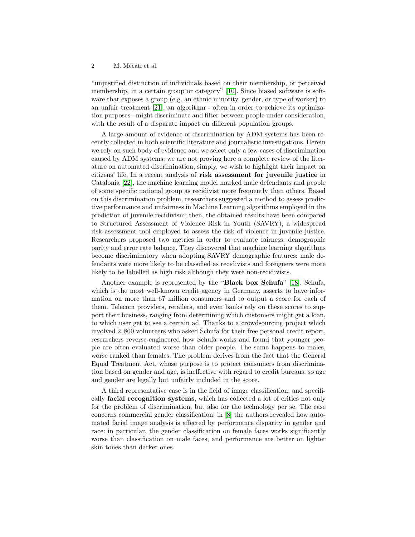"unjustified distinction of individuals based on their membership, or perceived membership, in a certain group or category" [\[10\]](#page-11-1). Since biased software is software that exposes a group (e.g. an ethnic minority, gender, or type of worker) to an unfair treatment [\[21\]](#page-11-2), an algorithm - often in order to achieve its optimization purposes - might discriminate and filter between people under consideration, with the result of a disparate impact on different population groups.

A large amount of evidence of discrimination by ADM systems has been recently collected in both scientific literature and journalistic investigations. Herein we rely on such body of evidence and we select only a few cases of discrimination caused by ADM systems; we are not proving here a complete review of the literature on automated discrimination, simply, we wish to highlight their impact on citizens' life. In a recent analysis of risk assessment for juvenile justice in Catalonia [\[22\]](#page-11-3), the machine learning model marked male defendants and people of some specific national group as recidivist more frequently than others. Based on this discrimination problem, researchers suggested a method to assess predictive performance and unfairness in Machine Learning algorithms employed in the prediction of juvenile recidivism; then, the obtained results have been compared to Structured Assessment of Violence Risk in Youth (SAVRY), a widespread risk assessment tool employed to assess the risk of violence in juvenile justice. Researchers proposed two metrics in order to evaluate fairness: demographic parity and error rate balance. They discovered that machine learning algorithms become discriminatory when adopting SAVRY demographic features: male defendants were more likely to be classified as recidivists and foreigners were more likely to be labelled as high risk although they were non-recidivists.

Another example is represented by the "Black box Schufa" [\[18\]](#page-11-4). Schufa, which is the most well-known credit agency in Germany, asserts to have information on more than 67 million consumers and to output a score for each of them. Telecom providers, retailers, and even banks rely on these scores to support their business, ranging from determining which customers might get a loan, to which user get to see a certain ad. Thanks to a crowdsourcing project which involved 2, 800 volunteers who asked Schufa for their free personal credit report, researchers reverse-engineered how Schufa works and found that younger people are often evaluated worse than older people. The same happens to males, worse ranked than females. The problem derives from the fact that the General Equal Treatment Act, whose purpose is to protect consumers from discrimination based on gender and age, is ineffective with regard to credit bureaus, so age and gender are legally but unfairly included in the score.

A third representative case is in the field of image classification, and specifically facial recognition systems, which has collected a lot of critics not only for the problem of discrimination, but also for the technology per se. The case concerns commercial gender classification: in [\[8\]](#page-11-5) the authors revealed how automated facial image analysis is affected by performance disparity in gender and race: in particular, the gender classification on female faces works significantly worse than classification on male faces, and performance are better on lighter skin tones than darker ones.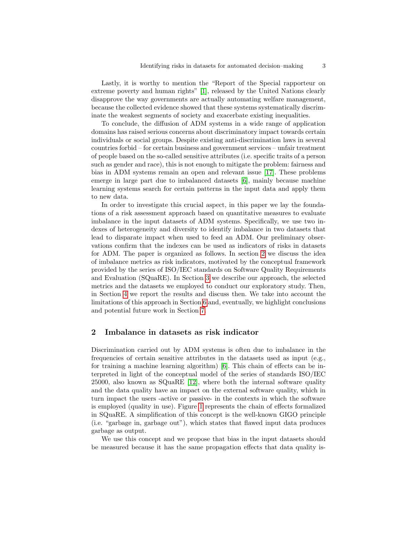Lastly, it is worthy to mention the "Report of the Special rapporteur on extreme poverty and human rights" [\[1\]](#page-10-0), released by the United Nations clearly disapprove the way governments are actually automating welfare management, because the collected evidence showed that these systems systematically discriminate the weakest segments of society and exacerbate existing inequalities.

To conclude, the diffusion of ADM systems in a wide range of application domains has raised serious concerns about discriminatory impact towards certain individuals or social groups. Despite existing anti-discrimination laws in several countries forbid – for certain business and government services – unfair treatment of people based on the so-called sensitive attributes (i.e. specific traits of a person such as gender and race), this is not enough to mitigate the problem: fairness and bias in ADM systems remain an open and relevant issue [\[17\]](#page-11-6). These problems emerge in large part due to imbalanced datasets [\[6\]](#page-11-7), mainly because machine learning systems search for certain patterns in the input data and apply them to new data.

In order to investigate this crucial aspect, in this paper we lay the foundations of a risk assessment approach based on quantitative measures to evaluate imbalance in the input datasets of ADM systems. Specifically, we use two indexes of heterogeneity and diversity to identify imbalance in two datasets that lead to disparate impact when used to feed an ADM. Our preliminary observations confirm that the indexes can be used as indicators of risks in datasets for ADM. The paper is organized as follows. In section [2](#page-2-0) we discuss the idea of imbalance metrics as risk indicators, motivated by the conceptual framework provided by the series of ISO/IEC standards on Software Quality Requirements and Evaluation (SQuaRE). In Section [3](#page-3-0) we describe our approach, the selected metrics and the datasets we employed to conduct our exploratory study. Then, in Section [4](#page-5-0) we report the results and discuss then. We take into account the limitations of this approach in Section [6](#page-9-0) and, eventually, we highlight conclusions and potential future work in Section [7.](#page-10-1)

## <span id="page-2-0"></span>2 Imbalance in datasets as risk indicator

Discrimination carried out by ADM systems is often due to imbalance in the frequencies of certain sensitive attributes in the datasets used as input (e.g., for training a machine learning algorithm) [\[6\]](#page-11-7). This chain of effects can be interpreted in light of the conceptual model of the series of standards ISO/IEC 25000, also known as  $SQuaRE [12]$  $SQuaRE [12]$ , where both the internal software quality and the data quality have an impact on the external software quality, which in turn impact the users -active or passive- in the contexts in which the software is employed (quality in use). Figure [1](#page-3-1) represents the chain of effects formalized in SQuaRE. A simplification of this concept is the well-known GIGO principle (i.e. "garbage in, garbage out"), which states that flawed input data produces garbage as output.

We use this concept and we propose that bias in the input datasets should be measured because it has the same propagation effects that data quality is-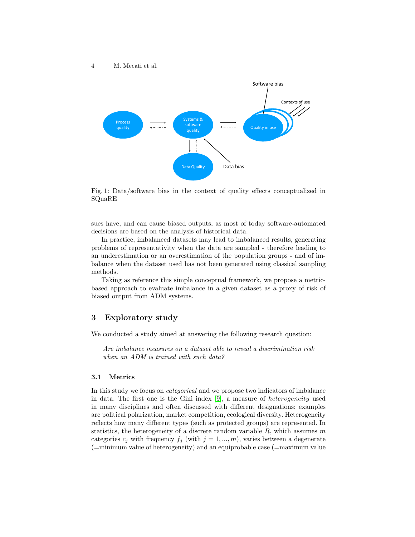<span id="page-3-1"></span>

Fig. 1: Data/software bias in the context of quality effects conceptualized in SQuaRE

sues have, and can cause biased outputs, as most of today software-automated decisions are based on the analysis of historical data.

In practice, imbalanced datasets may lead to imbalanced results, generating problems of representativity when the data are sampled - therefore leading to an underestimation or an overestimation of the population groups - and of imbalance when the dataset used has not been generated using classical sampling methods.

Taking as reference this simple conceptual framework, we propose a metricbased approach to evaluate imbalance in a given dataset as a proxy of risk of biased output from ADM systems.

## <span id="page-3-0"></span>3 Exploratory study

We conducted a study aimed at answering the following research question:

Are imbalance measures on a dataset able to reveal a discrimination risk when an ADM is trained with such data?

#### 3.1 Metrics

In this study we focus on categorical and we propose two indicators of imbalance in data. The first one is the Gini index [\[9\]](#page-11-9), a measure of heterogeneity used in many disciplines and often discussed with different designations: examples are political polarization, market competition, ecological diversity. Heterogeneity reflects how many different types (such as protected groups) are represented. In statistics, the heterogeneity of a discrete random variable  $R$ , which assumes m categories  $c_j$  with frequency  $f_j$  (with  $j = 1, ..., m$ ), varies between a degenerate (=minimum value of heterogeneity) and an equiprobable case (=maximum value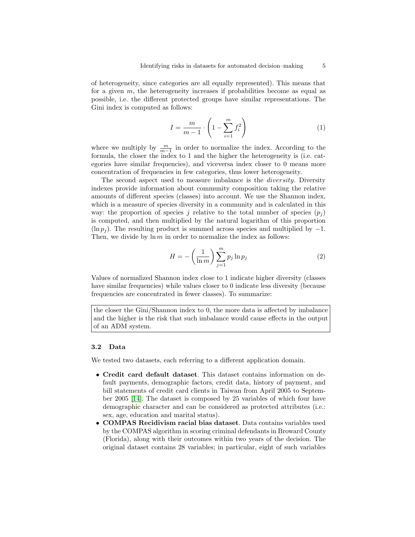of heterogeneity, since categories are all equally represented). This means that for a given  $m$ , the heterogeneity increases if probabilities become as equal as possible, i.e. the different protected groups have similar representations. The Gini index is computed as follows:

$$
I = \frac{m}{m-1} \cdot \left(1 - \sum_{i=1}^{m} f_i^2\right)
$$
 (1)

where we multiply by  $\frac{m}{m-1}$  in order to normalize the index. According to the formula, the closer the index to 1 and the higher the heterogeneity is (i.e. categories have similar frequencies), and viceversa index closer to 0 means more concentration of frequencies in few categories, thus lower heterogeneity.

The second aspect used to measure imbalance is the diversity. Diversity indexes provide information about community composition taking the relative amounts of different species (classes) into account. We use the Shannon index, which is a measure of species diversity in a community and is calculated in this way: the proportion of species j relative to the total number of species  $(p_i)$ is computed, and then multiplied by the natural logarithm of this proportion  $(\ln p_i)$ . The resulting product is summed across species and multiplied by  $-1$ . Then, we divide by  $\ln m$  in order to normalize the index as follows:

$$
H = -\left(\frac{1}{\ln m}\right) \sum_{j=1}^{m} p_j \ln p_j \tag{2}
$$

Values of normalized Shannon index close to 1 indicate higher diversity (classes have similar frequencies) while values closer to 0 indicate less diversity (because frequencies are concentrated in fewer classes). To summarize:

the closer the Gini/Shannon index to 0, the more data is affected by imbalance and the higher is the risk that such imbalance would cause effects in the output of an ADM system.

#### 3.2 Data

We tested two datasets, each referring to a different application domain.

- Credit card default dataset. This dataset contains information on default payments, demographic factors, credit data, history of payment, and bill statements of credit card clients in Taiwan from April 2005 to September 2005 [\[14\]](#page-11-10). The dataset is composed by 25 variables of which four have demographic character and can be considered as protected attributes (i.e.: sex, age, education and marital status).
- COMPAS Recidivism racial bias dataset. Data contains variables used by the COMPAS algorithm in scoring criminal defendants in Broward County (Florida), along with their outcomes within two years of the decision. The original dataset contains 28 variables; in particular, eight of such variables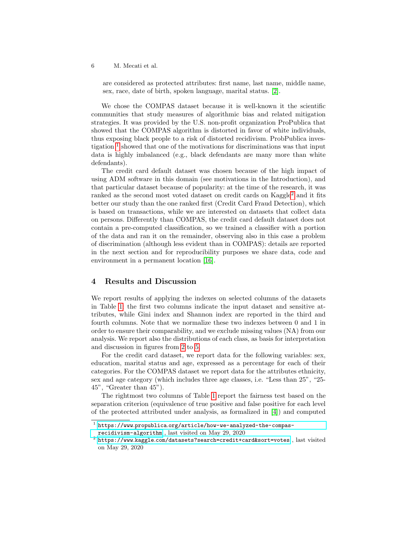are considered as protected attributes: first name, last name, middle name, sex, race, date of birth, spoken language, marital status. [\[2\]](#page-10-2).

We chose the COMPAS dataset because it is well-known it the scientific communities that study measures of algorithmic bias and related mitigation strategies. It was provided by the U.S. non-profit organization ProPublica that showed that the COMPAS algorithm is distorted in favor of white individuals, thus exposing black people to a risk of distorted recidivism. ProbPublica inves-tigation<sup>[1](#page-5-1)</sup> showed that one of the motivations for discriminations was that input data is highly imbalanced (e.g., black defendants are many more than white defendants).

The credit card default dataset was chosen because of the high impact of using ADM software in this domain (see motivations in the Introduction), and that particular dataset because of popularity: at the time of the research, it was ranked as the second most voted dataset on credit cards on Kaggle<sup>[2](#page-5-2)</sup> and it fits better our study than the one ranked first (Credit Card Fraud Detection), which is based on transactions, while we are interested on datasets that collect data on persons. Differently than COMPAS, the credit card default dataset does not contain a pre-computed classification, so we trained a classifier with a portion of the data and ran it on the remainder, observing also in this case a problem of discrimination (although less evident than in COMPAS): details are reported in the next section and for reproducibility purposes we share data, code and environment in a permanent location [\[16\]](#page-11-11).

## <span id="page-5-0"></span>4 Results and Discussion

We report results of applying the indexes on selected columns of the datasets in Table [1:](#page-6-0) the first two columns indicate the input dataset and sensitive attributes, while Gini index and Shannon index are reported in the third and fourth columns. Note that we normalize these two indexes between 0 and 1 in order to ensure their comparability, and we exclude missing values (NA) from our analysis. We report also the distributions of each class, as basis for interpretation and discussion in figures from [2](#page-6-1) to [5.](#page-8-0)

For the credit card dataset, we report data for the following variables: sex, education, marital status and age, expressed as a percentage for each of their categories. For the COMPAS dataset we report data for the attributes ethnicity, sex and age category (which includes three age classes, i.e. "Less than 25", "25- 45", "Greater than 45").

The rightmost two columns of Table [1](#page-6-0) report the fairness test based on the separation criterion (equivalence of true positive and false positive for each level of the protected attributed under analysis, as formalized in [\[4\]](#page-10-3)) and computed

<span id="page-5-1"></span><sup>1</sup> https://www.propublica.[org/article/how-we-analyzed-the-compas-](https://www.propublica.org/article/how-we-analyzed-the-compas-recidivism-algorithm)

[recidivism-algorithm](https://www.propublica.org/article/how-we-analyzed-the-compas-recidivism-algorithm) , last visited on May 29, 2020

<span id="page-5-2"></span> $^2$  https://www.kaggle.[com/datasets?search=credit+card&sort=votes](https://www.kaggle.com/datasets?search=credit+card&sort=votes) , last visited on May 29, 2020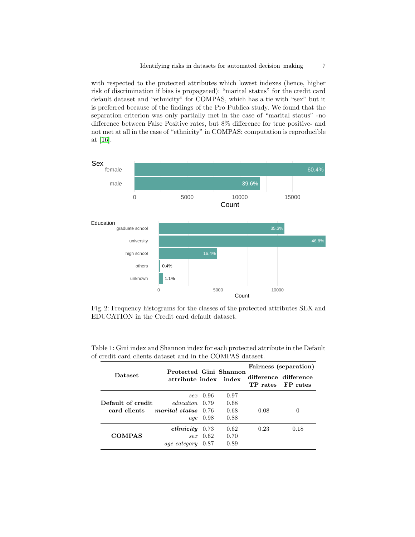with respected to the protected attributes which lowest indexes (hence, higher risk of discrimination if bias is propagated): "marital status" for the credit card default dataset and "ethnicity" for COMPAS, which has a tie with "sex" but it is preferred because of the findings of the Pro Publica study. We found that the separation criterion was only partially met in the case of "marital status" -no difference between False Positive rates, but 8% difference for true positive- and not met at all in the case of "ethnicity" in COMPAS: computation is reproducible at [\[16\]](#page-11-11).

<span id="page-6-1"></span>

Fig. 2: Frequency histograms for the classes of the protected attributes SEX and EDUCATION in the Credit card default dataset.

| <b>Dataset</b>    | Protected Gini Shannon<br>attribute index index |                 |      | Fairness (separation) |                                            |
|-------------------|-------------------------------------------------|-----------------|------|-----------------------|--------------------------------------------|
|                   |                                                 |                 |      |                       | difference difference<br>TP rates FP rates |
|                   |                                                 | $sex$ 0.96      | 0.97 |                       |                                            |
| Default of credit | <i>education</i> 0.79                           |                 | 0.68 |                       |                                            |
| card clients      | marital status 0.76                             |                 | 0.68 | 0.08                  | 0                                          |
|                   |                                                 | <i>age</i> 0.98 | 0.88 |                       |                                            |
|                   | $\epsilon$ thnicity 0.73                        |                 | 0.62 | 0.23                  | 0.18                                       |
| <b>COMPAS</b>     |                                                 | $sex$ 0.62      | 0.70 |                       |                                            |
|                   | age category                                    | 0.87            | 0.89 |                       |                                            |

<span id="page-6-0"></span>Table 1: Gini index and Shannon index for each protected attribute in the Default of credit card clients dataset and in the COMPAS dataset.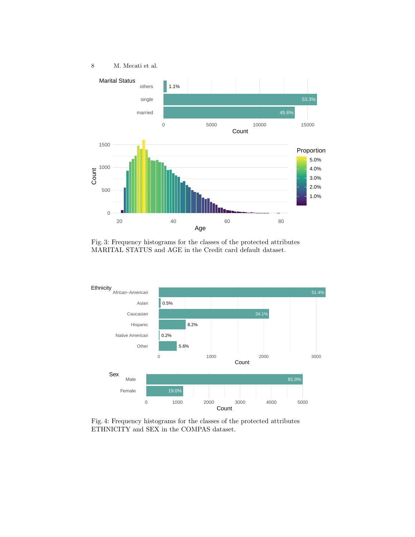8 M. Mecati et al.



Fig. 3: Frequency histograms for the classes of the protected attributes MARITAL STATUS and AGE in the Credit card default dataset.



Fig. 4: Frequency histograms for the classes of the protected attributes ETHNICITY and SEX in the COMPAS dataset.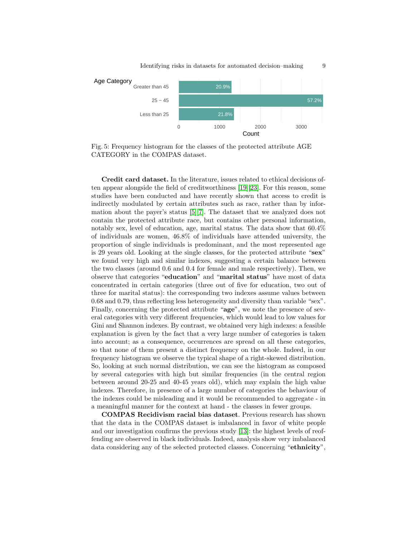<span id="page-8-0"></span>

Fig. 5: Frequency histogram for the classes of the protected attribute AGE CATEGORY in the COMPAS dataset.

Credit card dataset. In the literature, issues related to ethical decisions often appear alongside the field of creditworthiness [\[19\]](#page-11-12)[\[23\]](#page-11-13). For this reason, some studies have been conducted and have recently shown that access to credit is indirectly modulated by certain attributes such as race, rather than by information about the payer's status [\[5\]](#page-11-14)[\[7\]](#page-11-15). The dataset that we analyzed does not contain the protected attribute race, but contains other personal information, notably sex, level of education, age, marital status. The data show that 60.4% of individuals are women, 46.8% of individuals have attended university, the proportion of single individuals is predominant, and the most represented age is 29 years old. Looking at the single classes, for the protected attribute "sex" we found very high and similar indexes, suggesting a certain balance between the two classes (around 0.6 and 0.4 for female and male respectively). Then, we observe that categories "education" and "marital status" have most of data concentrated in certain categories (three out of five for education, two out of three for marital status): the corresponding two indexes assume values between 0.68 and 0.79, thus reflecting less heterogeneity and diversity than variable "sex". Finally, concerning the protected attribute "age", we note the presence of several categories with very different frequencies, which would lead to low values for Gini and Shannon indexes. By contrast, we obtained very high indexes: a feasible explanation is given by the fact that a very large number of categories is taken into account; as a consequence, occurrences are spread on all these categories, so that none of them present a distinct frequency on the whole. Indeed, in our frequency histogram we observe the typical shape of a right-skewed distribution. So, looking at such normal distribution, we can see the histogram as composed by several categories with high but similar frequencies (in the central region between around 20-25 and 40-45 years old), which may explain the high value indexes. Therefore, in presence of a large number of categories the behaviour of the indexes could be misleading and it would be recommended to aggregate - in a meaningful manner for the context at hand - the classes in fewer groups.

COMPAS Recidivism racial bias dataset. Previous research has shown that the data in the COMPAS dataset is imbalanced in favor of white people and our investigation confirms the previous study [\[13\]](#page-11-16): the highest levels of reoffending are observed in black individuals. Indeed, analysis show very imbalanced data considering any of the selected protected classes. Concerning "ethnicity",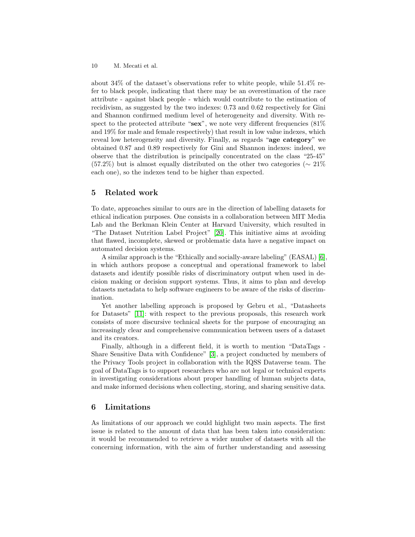about 34% of the dataset's observations refer to white people, while 51.4% refer to black people, indicating that there may be an overestimation of the race attribute - against black people - which would contribute to the estimation of recidivism, as suggested by the two indexes: 0.73 and 0.62 respectively for Gini and Shannon confirmed medium level of heterogeneity and diversity. With respect to the protected attribute " $sex$ ", we note very different frequencies  $(81\%)$ and 19% for male and female respectively) that result in low value indexes, which reveal low heterogeneity and diversity. Finally, as regards "age category" we obtained 0.87 and 0.89 respectively for Gini and Shannon indexes: indeed, we observe that the distribution is principally concentrated on the class "25-45" (57.2%) but is almost equally distributed on the other two categories ( $\sim 21\%$ each one), so the indexes tend to be higher than expected.

### 5 Related work

To date, approaches similar to ours are in the direction of labelling datasets for ethical indication purposes. One consists in a collaboration between MIT Media Lab and the Berkman Klein Center at Harvard University, which resulted in "The Dataset Nutrition Label Project" [\[20\]](#page-11-17). This initiative aims at avoiding that flawed, incomplete, skewed or problematic data have a negative impact on automated decision systems.

A similar approach is the "Ethically and socially-aware labeling" (EASAL) [\[6\]](#page-11-7), in which authors propose a conceptual and operational framework to label datasets and identify possible risks of discriminatory output when used in decision making or decision support systems. Thus, it aims to plan and develop datasets metadata to help software engineers to be aware of the risks of discrimination.

Yet another labelling approach is proposed by Gebru et al., "Datasheets for Datasets" [\[11\]](#page-11-18): with respect to the previous proposals, this research work consists of more discursive technical sheets for the purpose of encouraging an increasingly clear and comprehensive communication between users of a dataset and its creators.

Finally, although in a different field, it is worth to mention "DataTags - Share Sensitive Data with Confidence" [\[3\]](#page-10-4), a project conducted by members of the Privacy Tools project in collaboration with the IQSS Dataverse team. The goal of DataTags is to support researchers who are not legal or technical experts in investigating considerations about proper handling of human subjects data, and make informed decisions when collecting, storing, and sharing sensitive data.

### <span id="page-9-0"></span>6 Limitations

As limitations of our approach we could highlight two main aspects. The first issue is related to the amount of data that has been taken into consideration: it would be recommended to retrieve a wider number of datasets with all the concerning information, with the aim of further understanding and assessing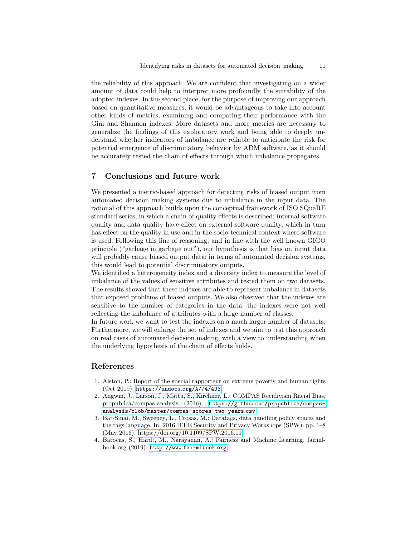the reliability of this approach. We are confident that investigating on a wider amount of data could help to interpret more profoundly the suitability of the adopted indexes. In the second place, for the purpose of improving our approach based on quantitative measures, it would be advantageous to take into account other kinds of metrics, examining and comparing their performance with the Gini and Shannon indexes. More datasets and more metrics are necessary to generalize the findings of this exploratory work and being able to deeply understand whether indicators of imbalance are reliable to anticipate the risk for potential emergence of discriminatory behavior by ADM software, as it should be accurately tested the chain of effects through which imbalance propagates.

## <span id="page-10-1"></span>7 Conclusions and future work

We presented a metric-based approach for detecting risks of biased output from automated decision making systems due to imbalance in the input data. The rational of this approach builds upon the conceptual framework of ISO SQuaRE standard series, in which a chain of quality effects is described: internal software quality and data quality have effect on external software quality, which in turn has effect on the quality in use and in the socio-technical context where software is used. Following this line of reasoning, and in line with the well known GIGO principle ("garbage in garbage out"), our hypothesis is that bias on input data will probably cause biased output data: in terms of automated decision systems, this would lead to potential discriminatory outputs.

We identified a heterogeneity index and a diversity index to measure the level of imbalance of the values of sensitive attributes and tested them on two datasets. The results showed that these indexes are able to represent imbalance in datasets that exposed problems of biased outputs. We also observed that the indexes are sensitive to the number of categories in the data: the indexes were not well reflecting the imbalance of attributes with a large number of classes.

In future work we want to test the indexes on a much larger number of datasets. Furthermore, we will enlarge the set of indexes and we aim to test this approach on real cases of automated decision making, with a view to understanding when the underlying hypothesis of the chain of effects holds.

## References

- <span id="page-10-0"></span>1. Alston, P.: Report of the special rapporteur on extreme poverty and human rights (Oct 2019), [https://undocs](https://undocs.org/A/74/493).org/A/74/493
- <span id="page-10-2"></span>2. Angwin, J., Larson, J., Mattu, S., Kirchner, L.: COMPAS Recidivism Racial Bias, propublica/compas-analysis (2016), https://github.[com/propublica/compas](https://github.com/propublica/compas-analysis/blob/master/compas-scores-two-years.csv)[analysis/blob/master/compas-scores-two-years](https://github.com/propublica/compas-analysis/blob/master/compas-scores-two-years.csv).csv
- <span id="page-10-4"></span>3. Bar-Sinai, M., Sweeney, L., Crosas, M.: Datatags, data handling policy spaces and the tags language. In: 2016 IEEE Security and Privacy Workshops (SPW). pp. 1–8 (May 2016).<https://doi.org/10.1109/SPW.2016.11>
- <span id="page-10-3"></span>4. Barocas, S., Hardt, M., Narayanan, A.: Fairness and Machine Learning. fairmlbook.org (2019), http://www.[fairmlbook](http://www.fairmlbook.org).org